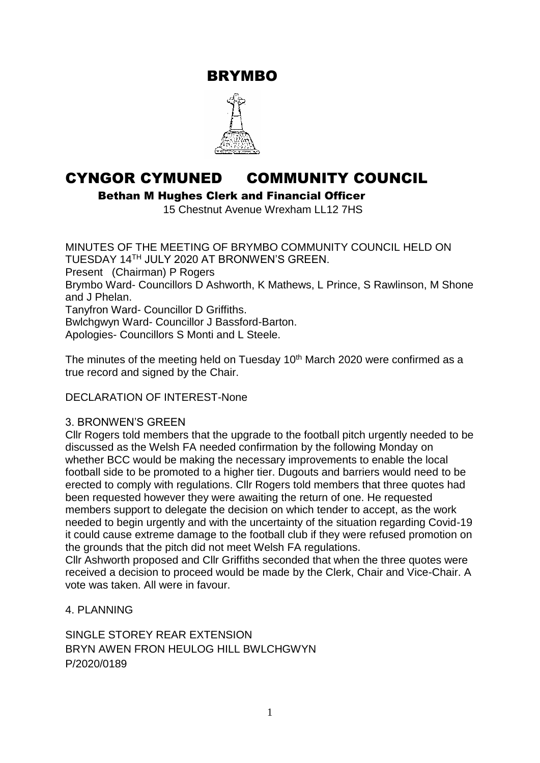BRYMBO



# CYNGOR CYMUNED COMMUNITY COUNCIL

Bethan M Hughes Clerk and Financial Officer

15 Chestnut Avenue Wrexham LL12 7HS

MINUTES OF THE MEETING OF BRYMBO COMMUNITY COUNCIL HELD ON TUESDAY 14TH JULY 2020 AT BRONWEN'S GREEN. Present (Chairman) P Rogers Brymbo Ward- Councillors D Ashworth, K Mathews, L Prince, S Rawlinson, M Shone and J Phelan. Tanyfron Ward- Councillor D Griffiths. Bwlchgwyn Ward- Councillor J Bassford-Barton. Apologies- Councillors S Monti and L Steele.

The minutes of the meeting held on Tuesday  $10<sup>th</sup>$  March 2020 were confirmed as a true record and signed by the Chair.

DECLARATION OF INTEREST-None

## 3. BRONWEN'S GREEN

Cllr Rogers told members that the upgrade to the football pitch urgently needed to be discussed as the Welsh FA needed confirmation by the following Monday on whether BCC would be making the necessary improvements to enable the local football side to be promoted to a higher tier. Dugouts and barriers would need to be erected to comply with regulations. Cllr Rogers told members that three quotes had been requested however they were awaiting the return of one. He requested members support to delegate the decision on which tender to accept, as the work needed to begin urgently and with the uncertainty of the situation regarding Covid-19 it could cause extreme damage to the football club if they were refused promotion on the grounds that the pitch did not meet Welsh FA regulations.

Cllr Ashworth proposed and Cllr Griffiths seconded that when the three quotes were received a decision to proceed would be made by the Clerk, Chair and Vice-Chair. A vote was taken. All were in favour.

# 4. PLANNING

SINGLE STOREY REAR EXTENSION BRYN AWEN FRON HEULOG HILL BWLCHGWYN P/2020/0189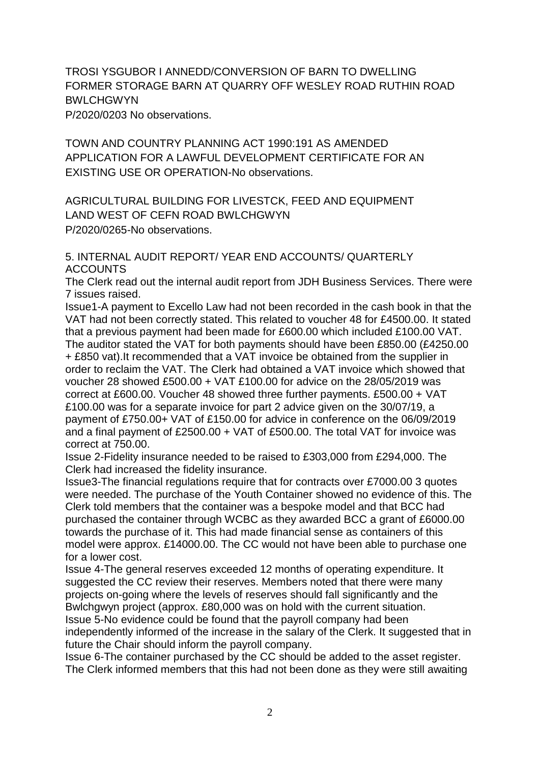TROSI YSGUBOR I ANNEDD/CONVERSION OF BARN TO DWELLING FORMER STORAGE BARN AT QUARRY OFF WESLEY ROAD RUTHIN ROAD BWLCHGWYN P/2020/0203 No observations.

TOWN AND COUNTRY PLANNING ACT 1990:191 AS AMENDED APPLICATION FOR A LAWFUL DEVELOPMENT CERTIFICATE FOR AN EXISTING USE OR OPERATION-No observations.

AGRICULTURAL BUILDING FOR LIVESTCK, FEED AND EQUIPMENT LAND WEST OF CEFN ROAD BWLCHGWYN P/2020/0265-No observations.

5. INTERNAL AUDIT REPORT/ YEAR END ACCOUNTS/ QUARTERLY ACCOUNTS

The Clerk read out the internal audit report from JDH Business Services. There were 7 issues raised.

Issue1-A payment to Excello Law had not been recorded in the cash book in that the VAT had not been correctly stated. This related to voucher 48 for £4500.00. It stated that a previous payment had been made for £600.00 which included £100.00 VAT. The auditor stated the VAT for both payments should have been £850.00 (£4250.00 + £850 vat).It recommended that a VAT invoice be obtained from the supplier in order to reclaim the VAT. The Clerk had obtained a VAT invoice which showed that voucher 28 showed £500.00 + VAT £100.00 for advice on the 28/05/2019 was correct at £600.00. Voucher 48 showed three further payments. £500.00 + VAT £100.00 was for a separate invoice for part 2 advice given on the 30/07/19, a payment of £750.00+ VAT of £150.00 for advice in conference on the 06/09/2019 and a final payment of £2500.00 + VAT of £500.00. The total VAT for invoice was correct at 750.00.

Issue 2-Fidelity insurance needed to be raised to £303,000 from £294,000. The Clerk had increased the fidelity insurance.

Issue3-The financial regulations require that for contracts over £7000.00 3 quotes were needed. The purchase of the Youth Container showed no evidence of this. The Clerk told members that the container was a bespoke model and that BCC had purchased the container through WCBC as they awarded BCC a grant of £6000.00 towards the purchase of it. This had made financial sense as containers of this model were approx. £14000.00. The CC would not have been able to purchase one for a lower cost.

Issue 4-The general reserves exceeded 12 months of operating expenditure. It suggested the CC review their reserves. Members noted that there were many projects on-going where the levels of reserves should fall significantly and the Bwlchgwyn project (approx. £80,000 was on hold with the current situation.

Issue 5-No evidence could be found that the payroll company had been independently informed of the increase in the salary of the Clerk. It suggested that in future the Chair should inform the payroll company.

Issue 6-The container purchased by the CC should be added to the asset register. The Clerk informed members that this had not been done as they were still awaiting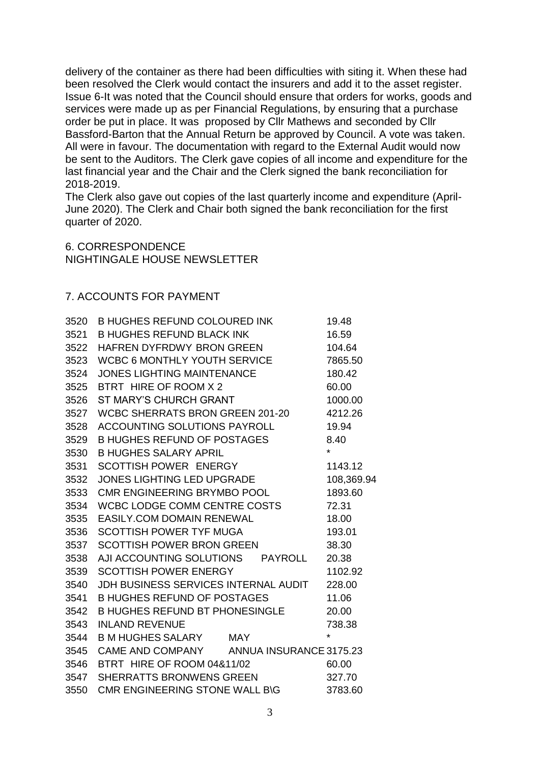delivery of the container as there had been difficulties with siting it. When these had been resolved the Clerk would contact the insurers and add it to the asset register. Issue 6-It was noted that the Council should ensure that orders for works, goods and services were made up as per Financial Regulations, by ensuring that a purchase order be put in place. It was proposed by Cllr Mathews and seconded by Cllr Bassford-Barton that the Annual Return be approved by Council. A vote was taken. All were in favour. The documentation with regard to the External Audit would now be sent to the Auditors. The Clerk gave copies of all income and expenditure for the last financial year and the Chair and the Clerk signed the bank reconciliation for 2018-2019.

The Clerk also gave out copies of the last quarterly income and expenditure (April-June 2020). The Clerk and Chair both signed the bank reconciliation for the first quarter of 2020.

#### 6. CORRESPONDENCE NIGHTINGALE HOUSE NEWSLETTER

## 7. ACCOUNTS FOR PAYMENT

|      | 3520 B HUGHES REFUND COLOURED INK        |  | 19.48      |
|------|------------------------------------------|--|------------|
| 3521 | <b>B HUGHES REFUND BLACK INK</b>         |  | 16.59      |
| 3522 | HAFREN DYFRDWY BRON GREEN                |  | 104.64     |
| 3523 | WCBC 6 MONTHLY YOUTH SERVICE             |  | 7865.50    |
| 3524 | <b>JONES LIGHTING MAINTENANCE</b>        |  | 180.42     |
| 3525 | BTRT HIRE OF ROOM X 2                    |  | 60.00      |
| 3526 | ST MARY'S CHURCH GRANT                   |  | 1000.00    |
| 3527 | WCBC SHERRATS BRON GREEN 201-20          |  | 4212.26    |
| 3528 | <b>ACCOUNTING SOLUTIONS PAYROLL</b>      |  | 19.94      |
| 3529 | B HUGHES REFUND OF POSTAGES              |  | 8.40       |
| 3530 | <b>B HUGHES SALARY APRIL</b>             |  | $\star$    |
| 3531 | <b>SCOTTISH POWER ENERGY</b>             |  | 1143.12    |
| 3532 | <b>JONES LIGHTING LED UPGRADE</b>        |  | 108,369.94 |
| 3533 | CMR ENGINEERING BRYMBO POOL              |  | 1893.60    |
| 3534 | WCBC LODGE COMM CENTRE COSTS             |  | 72.31      |
| 3535 | <b>EASILY.COM DOMAIN RENEWAL</b>         |  | 18.00      |
| 3536 | <b>SCOTTISH POWER TYF MUGA</b>           |  | 193.01     |
| 3537 | <b>SCOTTISH POWER BRON GREEN</b>         |  | 38.30      |
| 3538 | AJI ACCOUNTING SOLUTIONS PAYROLL 20.38   |  |            |
| 3539 | <b>SCOTTISH POWER ENERGY</b>             |  | 1102.92    |
| 3540 | JDH BUSINESS SERVICES INTERNAL AUDIT     |  | 228.00     |
| 3541 | <b>B HUGHES REFUND OF POSTAGES</b>       |  | 11.06      |
| 3542 | <b>B HUGHES REFUND BT PHONESINGLE</b>    |  | 20.00      |
| 3543 | <b>INLAND REVENUE</b>                    |  | 738.38     |
| 3544 | B M HUGHES SALARY MAY                    |  | $\star$    |
| 3545 | CAME AND COMPANY ANNUA INSURANCE 3175.23 |  |            |
| 3546 | BTRT HIRE OF ROOM 04&11/02               |  | 60.00      |
| 3547 | <b>SHERRATTS BRONWENS GREEN</b>          |  | 327.70     |
| 3550 | CMR ENGINEERING STONE WALL B\G           |  | 3783.60    |